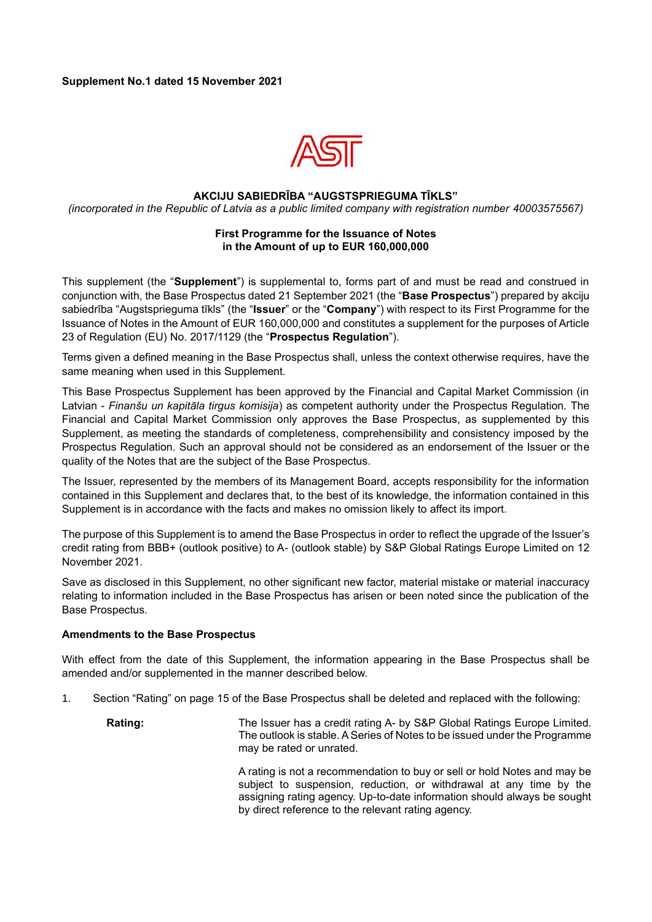

## **AKCIJU SABIEDRĪBA "AUGSTSPRIEGUMA TĪKLS"**

*(incorporated in the Republic of Latvia as a public limited company with registration number 40003575567)*

## **First Programme for the Issuance of Notes in the Amount of up to EUR 160,000,000**

This supplement (the "**Supplement**") is supplemental to, forms part of and must be read and construed in conjunction with, the Base Prospectus dated 21 September 2021 (the "**Base Prospectus**") prepared by akciju sabiedrība "Augstsprieguma tīkls" (the "**Issuer**" or the "**Company**") with respect to its First Programme for the Issuance of Notes in the Amount of EUR 160,000,000 and constitutes a supplement for the purposes of Article 23 of Regulation (EU) No. 2017/1129 (the "**Prospectus Regulation**").

Terms given a defined meaning in the Base Prospectus shall, unless the context otherwise requires, have the same meaning when used in this Supplement.

This Base Prospectus Supplement has been approved by the Financial and Capital Market Commission (in Latvian - *Finanšu un kapitāla tirgus komisija*) as competent authority under the Prospectus Regulation. The Financial and Capital Market Commission only approves the Base Prospectus, as supplemented by this Supplement, as meeting the standards of completeness, comprehensibility and consistency imposed by the Prospectus Regulation. Such an approval should not be considered as an endorsement of the Issuer or the quality of the Notes that are the subject of the Base Prospectus.

The Issuer, represented by the members of its Management Board, accepts responsibility for the information contained in this Supplement and declares that, to the best of its knowledge, the information contained in this Supplement is in accordance with the facts and makes no omission likely to affect its import.

The purpose of this Supplement is to amend the Base Prospectus in order to reflect the upgrade of the Issuer's credit rating from BBB+ (outlook positive) to A- (outlook stable) by S&P Global Ratings Europe Limited on 12 November 2021.

Save as disclosed in this Supplement, no other significant new factor, material mistake or material inaccuracy relating to information included in the Base Prospectus has arisen or been noted since the publication of the Base Prospectus.

## **Amendments to the Base Prospectus**

With effect from the date of this Supplement, the information appearing in the Base Prospectus shall be amended and/or supplemented in the manner described below.

1. Section "Rating" on page 15 of the Base Prospectus shall be deleted and replaced with the following:

**Rating:** The Issuer has a credit rating A- by S&P Global Ratings Europe Limited. The outlook is stable. A Series of Notes to be issued under the Programme may be rated or unrated.

A rating is not a recommendation to buy or sell or hold Notes and may be subject to suspension, reduction, or withdrawal at any time by the assigning rating agency. Up-to-date information should always be sought by direct reference to the relevant rating agency.